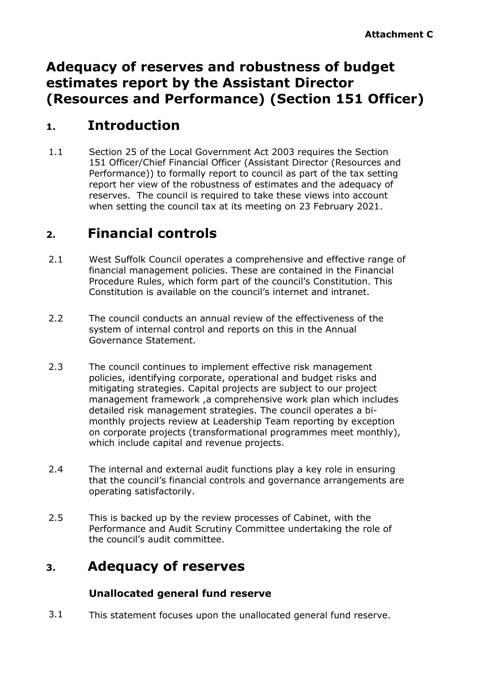# **Adequacy of reserves and robustness of budget estimates report by the Assistant Director (Resources and Performance) (Section 151 Officer)**

### **1. Introduction**

1.1 Section 25 of the Local Government Act 2003 requires the Section 151 Officer/Chief Financial Officer (Assistant Director (Resources and Performance)) to formally report to council as part of the tax setting report her view of the robustness of estimates and the adequacy of reserves. The council is required to take these views into account when setting the council tax at its meeting on 23 February 2021.

# **2. Financial controls**

- 2.1 West Suffolk Council operates a comprehensive and effective range of financial management policies. These are contained in the Financial Procedure Rules, which form part of the council's Constitution. This Constitution is available on the council's internet and intranet.
- 2.2 The council conducts an annual review of the effectiveness of the system of internal control and reports on this in the Annual Governance Statement.
- 2.3 The council continues to implement effective risk management policies, identifying corporate, operational and budget risks and mitigating strategies. Capital projects are subject to our project management framework ,a comprehensive work plan which includes detailed risk management strategies. The council operates a bimonthly projects review at Leadership Team reporting by exception on corporate projects (transformational programmes meet monthly), which include capital and revenue projects.
- 2.4 The internal and external audit functions play a key role in ensuring that the council's financial controls and governance arrangements are operating satisfactorily.
- 2.5 This is backed up by the review processes of Cabinet, with the Performance and Audit Scrutiny Committee undertaking the role of the council's audit committee.

## **3. Adequacy of reserves**

### **Unallocated general fund reserve**

3.1 This statement focuses upon the unallocated general fund reserve.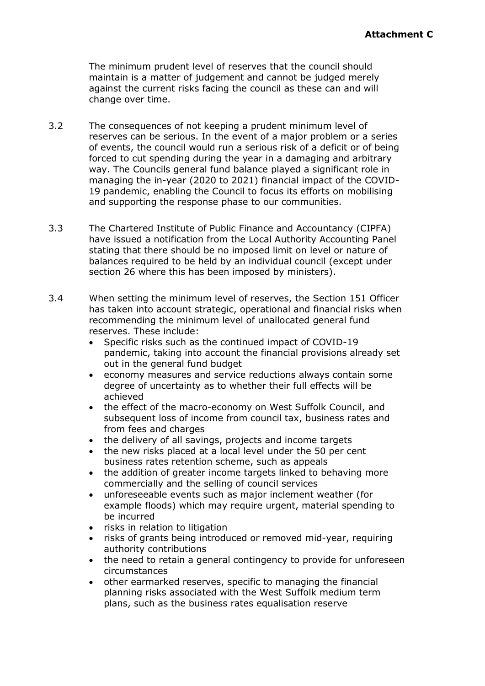The minimum prudent level of reserves that the council should maintain is a matter of judgement and cannot be judged merely against the current risks facing the council as these can and will change over time.

- 3.2 The consequences of not keeping a prudent minimum level of reserves can be serious. In the event of a major problem or a series of events, the council would run a serious risk of a deficit or of being forced to cut spending during the year in a damaging and arbitrary way. The Councils general fund balance played a significant role in managing the in-year (2020 to 2021) financial impact of the COVID-19 pandemic, enabling the Council to focus its efforts on mobilising and supporting the response phase to our communities.
- 3.3 The Chartered Institute of Public Finance and Accountancy (CIPFA) have issued a notification from the Local Authority Accounting Panel stating that there should be no imposed limit on level or nature of balances required to be held by an individual council (except under section 26 where this has been imposed by ministers).
- 3.4 When setting the minimum level of reserves, the Section 151 Officer has taken into account strategic, operational and financial risks when recommending the minimum level of unallocated general fund reserves. These include:
	- Specific risks such as the continued impact of COVID-19 pandemic, taking into account the financial provisions already set out in the general fund budget
	- economy measures and service reductions always contain some degree of uncertainty as to whether their full effects will be achieved
	- the effect of the macro-economy on West Suffolk Council, and subsequent loss of income from council tax, business rates and from fees and charges
	- the delivery of all savings, projects and income targets
	- the new risks placed at a local level under the 50 per cent business rates retention scheme, such as appeals
	- the addition of greater income targets linked to behaving more commercially and the selling of council services
	- unforeseeable events such as major inclement weather (for example floods) which may require urgent, material spending to be incurred
	- risks in relation to litigation
	- risks of grants being introduced or removed mid-year, requiring authority contributions
	- the need to retain a general contingency to provide for unforeseen circumstances
	- other earmarked reserves, specific to managing the financial planning risks associated with the West Suffolk medium term plans, such as the business rates equalisation reserve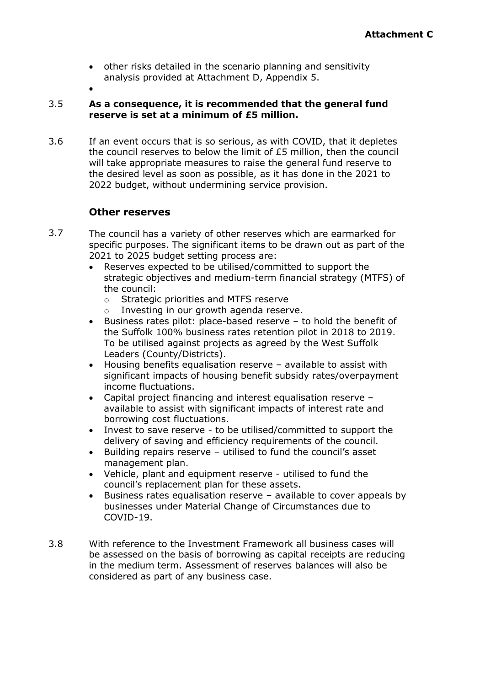- other risks detailed in the scenario planning and sensitivity analysis provided at Attachment D, Appendix 5.
- $\bullet$

#### 3.5 **As a consequence, it is recommended that the general fund reserve is set at a minimum of £5 million.**

3.6 If an event occurs that is so serious, as with COVID, that it depletes the council reserves to below the limit of £5 million, then the council will take appropriate measures to raise the general fund reserve to the desired level as soon as possible, as it has done in the 2021 to 2022 budget, without undermining service provision.

### **Other reserves**

- 3.7 The council has a variety of other reserves which are earmarked for specific purposes. The significant items to be drawn out as part of the 2021 to 2025 budget setting process are:
	- Reserves expected to be utilised/committed to support the strategic objectives and medium-term financial strategy (MTFS) of the council:
		- o Strategic priorities and MTFS reserve
		- o Investing in our growth agenda reserve.
	- Business rates pilot: place-based reserve to hold the benefit of the Suffolk 100% business rates retention pilot in 2018 to 2019. To be utilised against projects as agreed by the West Suffolk Leaders (County/Districts).
	- Housing benefits equalisation reserve available to assist with significant impacts of housing benefit subsidy rates/overpayment income fluctuations.
	- Capital project financing and interest equalisation reserve available to assist with significant impacts of interest rate and borrowing cost fluctuations.
	- Invest to save reserve to be utilised/committed to support the delivery of saving and efficiency requirements of the council.
	- Building repairs reserve utilised to fund the council's asset management plan.
	- Vehicle, plant and equipment reserve utilised to fund the council's replacement plan for these assets.
	- Business rates equalisation reserve available to cover appeals by businesses under Material Change of Circumstances due to COVID-19.
- 3.8 With reference to the Investment Framework all business cases will be assessed on the basis of borrowing as capital receipts are reducing in the medium term. Assessment of reserves balances will also be considered as part of any business case.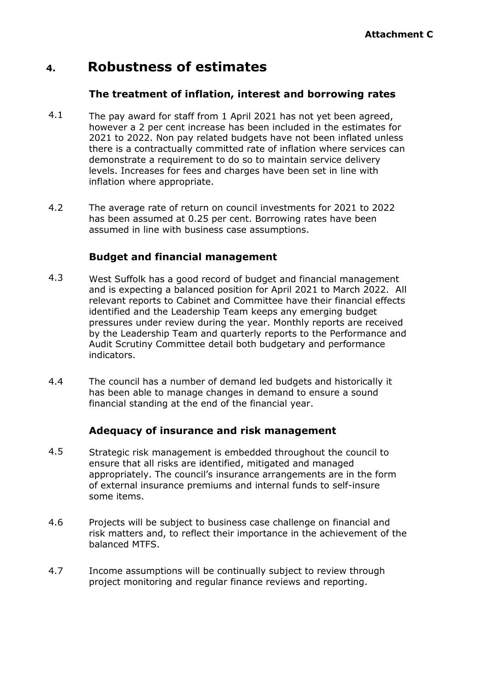### **4. Robustness of estimates**

#### **The treatment of inflation, interest and borrowing rates**

- 4.1 The pay award for staff from 1 April 2021 has not yet been agreed, however a 2 per cent increase has been included in the estimates for 2021 to 2022. Non pay related budgets have not been inflated unless there is a contractually committed rate of inflation where services can demonstrate a requirement to do so to maintain service delivery levels. Increases for fees and charges have been set in line with inflation where appropriate.
- 4.2 The average rate of return on council investments for 2021 to 2022 has been assumed at 0.25 per cent. Borrowing rates have been assumed in line with business case assumptions.

### **Budget and financial management**

- 4.3 West Suffolk has a good record of budget and financial management and is expecting a balanced position for April 2021 to March 2022. All relevant reports to Cabinet and Committee have their financial effects identified and the Leadership Team keeps any emerging budget pressures under review during the year. Monthly reports are received by the Leadership Team and quarterly reports to the Performance and Audit Scrutiny Committee detail both budgetary and performance indicators.
- 4.4 The council has a number of demand led budgets and historically it has been able to manage changes in demand to ensure a sound financial standing at the end of the financial year.

### **Adequacy of insurance and risk management**

- 4.5 Strategic risk management is embedded throughout the council to ensure that all risks are identified, mitigated and managed appropriately. The council's insurance arrangements are in the form of external insurance premiums and internal funds to self-insure some items.
- 4.6 Projects will be subject to business case challenge on financial and risk matters and, to reflect their importance in the achievement of the balanced MTFS.
- 4.7 Income assumptions will be continually subject to review through project monitoring and regular finance reviews and reporting.